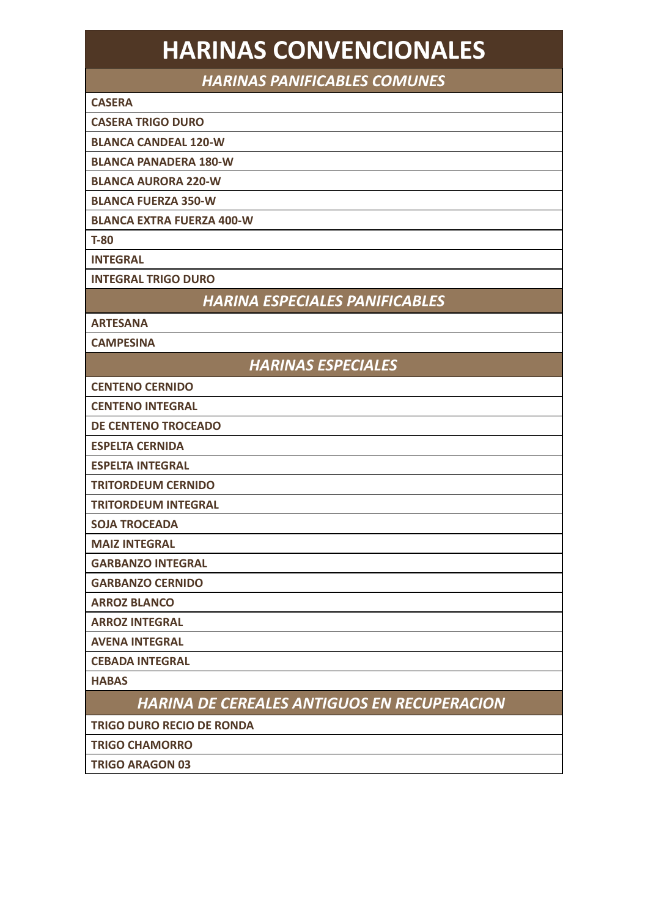# **HARINAS CONVENCIONALES**

*HARINAS PANIFICABLES COMUNES*

#### **CASERA**

 **CASERA TRIGO DURO**

 **BLANCA CANDEAL 120-W**

 **BLANCA PANADERA 180-W**

 **BLANCA AURORA 220-W**

 **BLANCA FUERZA 350-W**

 **BLANCA EXTRA FUERZA 400-W** 

 **T-80**

 **INTEGRAL**

 **INTEGRAL TRIGO DURO**

*HARINA ESPECIALES PANIFICABLES*

 **ARTESANA**

 **CAMPESINA**

*HARINAS ESPECIALES*

 **CENTENO CERNIDO**

 **CENTENO INTEGRAL**

 **DE CENTENO TROCEADO**

 **ESPELTA CERNIDA**

 **ESPELTA INTEGRAL**

 **TRITORDEUM CERNIDO**

 **TRITORDEUM INTEGRAL**

 **SOJA TROCEADA**

 **MAIZ INTEGRAL**

 **GARBANZO INTEGRAL**

 **GARBANZO CERNIDO**

 **ARROZ BLANCO**

 **ARROZ INTEGRAL**

 **AVENA INTEGRAL**

 **CEBADA INTEGRAL**

 **HABAS**

*HARINA DE CEREALES ANTIGUOS EN RECUPERACION* 

 **TRIGO DURO RECIO DE RONDA** 

 **TRIGO CHAMORRO**

 **TRIGO ARAGON 03**